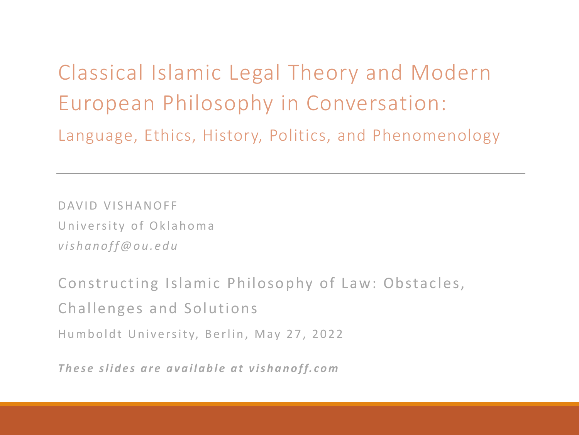Classical Islamic Legal Theory and Modern European Philosophy in Conversation: Language, Ethics, History, Politics, and Phenomenology

DAVID VISHANOFF University of Oklahoma *vishanoff@ou.edu*

Constructing Islamic Philosophy of Law: Obstacles, Challenges and Solutions Humboldt University, Berlin, May 27, 2022

*These slides are available at vishanoff.com*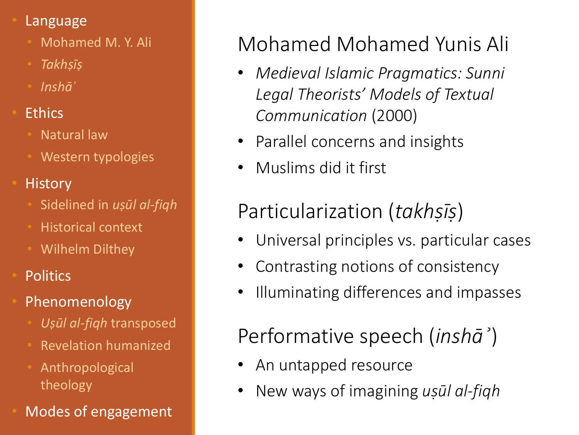#### • Language

- Mohamed M. Y. Ali
- *Takhṣīṣ*
- *Inshāʾ*
- **Ethics** 
	- **Natural law**
	- Western typologies
- **History** 
	- Sidelined in *uṣūl al-fiqh*
	- Historical context
	- Wilhelm Dilthey
- **Politics**
- **Phenomenology** 
	- *Uṣūl al-fiqh* transposed
	- Revelation humanized
	- Anthropological theology
- Modes of engagement

# Mohamed Mohamed Yunis Ali

- *Medieval Islamic Pragmatics: Sunni Legal Theorists' Models of Textual Communication* (2000)
- Parallel concerns and insights
- Muslims did it first

## Particularization (*takhṣīṣ*)

- Universal principles vs. particular cases
- Contrasting notions of consistency
- Illuminating differences and impasses

Performative speech (*inshāʾ*)

- An untapped resource
- New ways of imagining *uṣūl al-fiqh*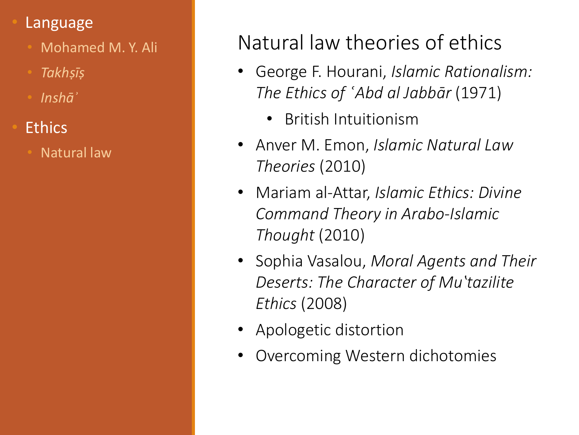- Mohamed M. Y. Ali
- *Takhṣīṣ*
- *Inshāʾ*
- **Ethics** 
	- Natural law

## Natural law theories of ethics

- George F. Hourani, *Islamic Rationalism: The Ethics of ʿAbd al Jabbār* (1971)
	- British Intuitionism
- Anver M. Emon, *Islamic Natural Law Theories* (2010)
- Mariam al-Attar, *Islamic Ethics: Divine Command Theory in Arabo-Islamic Thought* (2010)
- Sophia Vasalou, *Moral Agents and Their Deserts: The Character of Muʽtazilite Ethics* (2008)
- Apologetic distortion
- Overcoming Western dichotomies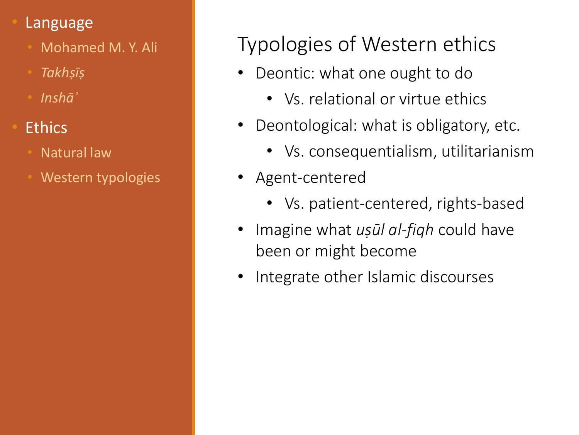- Mohamed M. Y. Ali
- *Takhṣīṣ*
- *Inshāʾ*
- **Ethics** 
	- Natural law
	- Western typologies

## Typologies of Western ethics

- Deontic: what one ought to do
	- Vs. relational or virtue ethics
- Deontological: what is obligatory, etc.
	- Vs. consequentialism, utilitarianism
- Agent-centered
	- Vs. patient-centered, rights-based
- Imagine what *uṣūl al-fiqh* could have been or might become
- Integrate other Islamic discourses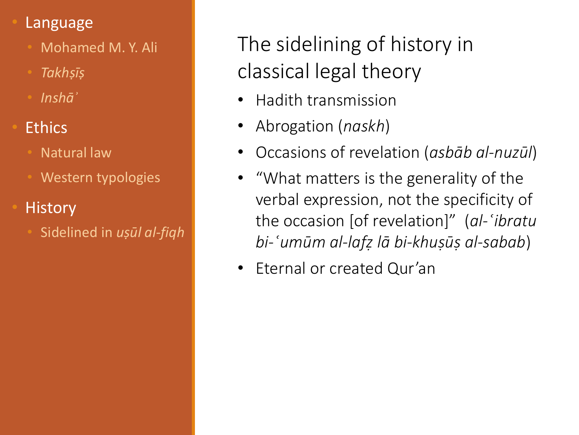- Mohamed M. Y. Ali
- *Takhṣīṣ*
- *Inshāʾ*
- **Ethics** 
	- Natural law
	- Western typologies
- History
	- Sidelined in *uṣūl al-fiqh*

The sidelining of history in classical legal theory

- Hadith transmission
- Abrogation (*naskh*)
- Occasions of revelation (*asbāb al-nuzūl*)
- "What matters is the generality of the verbal expression, not the specificity of the occasion [of revelation]" (*al-ʿibratu bi-ʿumūm al-lafẓ lā bi-khuṣūṣ al-sabab*)
- Eternal or created Qur'an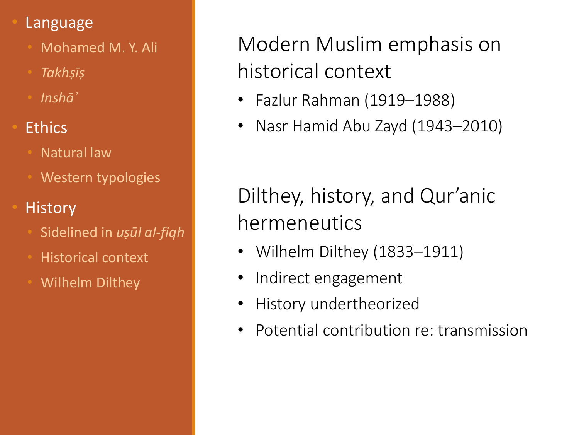- Mohamed M. Y. Ali
- *Takhṣīṣ*
- *Inshāʾ*

### **Ethics**

- Natural law
- Western typologies

### • History

- Sidelined in *uṣūl al-fiqh*
- Historical context
- Wilhelm Dilthey

Modern Muslim emphasis on historical context

- Fazlur Rahman (1919–1988)
- Nasr Hamid Abu Zayd (1943–2010)

Dilthey, history, and Qur'anic hermeneutics

- Wilhelm Dilthey (1833–1911)
- Indirect engagement
- History undertheorized
- Potential contribution re: transmission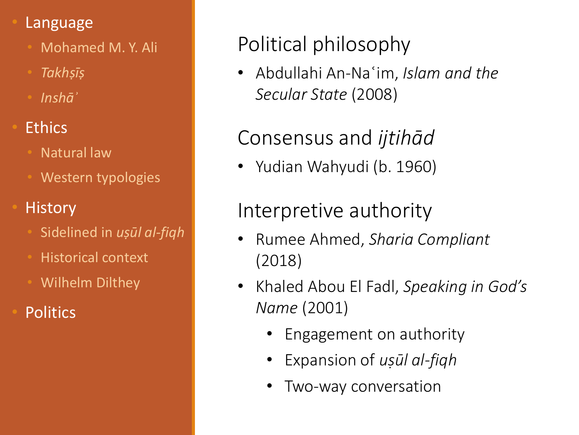- Mohamed M. Y. Ali
- *Takhṣīṣ*
- *Inshāʾ*

### **Ethics**

- Natural law
- Western typologies

### • History

- Sidelined in *uṣūl al-fiqh*
- Historical context
- Wilhelm Dilthey
- **Politics**

# Political philosophy

• Abdullahi An-Naʿim, *Islam and the Secular State* (2008)

## Consensus and *ijtihād*

• Yudian Wahyudi (b. 1960)

### Interpretive authority

- Rumee Ahmed, *Sharia Compliant*  (2018)
- Khaled Abou El Fadl, *Speaking in God's Name* (2001)
	- Engagement on authority
	- Expansion of *uṣūl al-fiqh*
	- Two-way conversation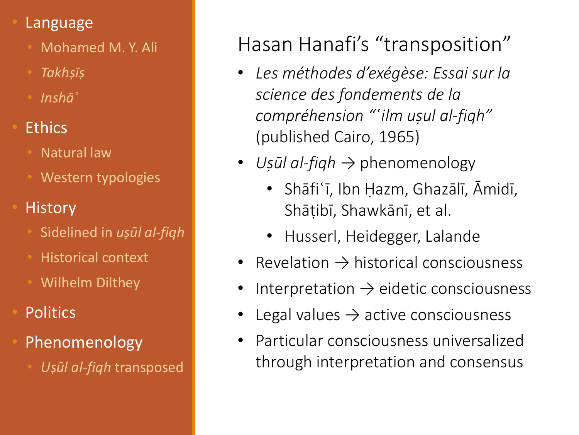- Mohamed M. Y. Ali
- *Takhṣīṣ*
- *Inshāʾ*

### **Ethics**

- Natural law
- Western typologies

### • History

- Sidelined in *uṣūl al-fiqh*
- Historical context
- Wilhelm Dilthey
- **Politics**
- Phenomenology
	- *Uṣūl al-fiqh* transposed

# Hasan Hanafi's "transposition"

- *Les méthodes d'exégèse: Essai sur la science des fondements de la compréhension "ʿilm uṣul al-fiqh"*  (published Cairo, 1965)
- *Uṣūl al-fiqh* → phenomenology
	- Shāfiʿī, Ibn Ḥazm, Ghazālī, Āmidī, Shāṭibī, Shawkānī, et al.
	- Husserl, Heidegger, Lalande
- Revelation  $\rightarrow$  historical consciousness
- Interpretation  $\rightarrow$  eidetic consciousness
- Legal values  $\rightarrow$  active consciousness
- Particular consciousness universalized through interpretation and consensus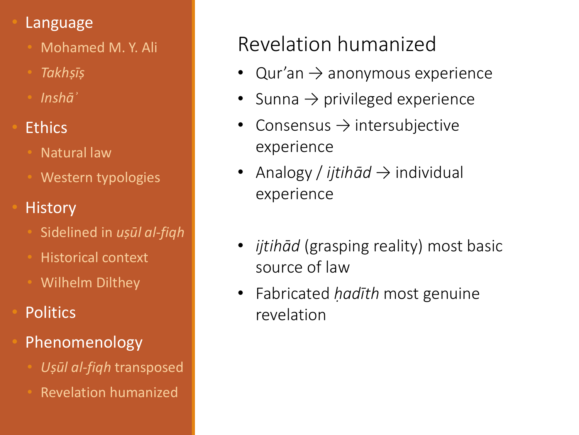- Mohamed M. Y. Ali
- *Takhṣīṣ*
- *Inshāʾ*
- **Ethics** 
	- Natural law
	- Western typologies
- History
	- Sidelined in *uṣūl al-fiqh*
	- Historical context
	- Wilhelm Dilthey
- **Politics**
- Phenomenology
	- *Uṣūl al-fiqh* transposed
	- Revelation humanized

## Revelation humanized

- Qur'an  $\rightarrow$  anonymous experience
- Sunna  $\rightarrow$  privileged experience
- Consensus  $\rightarrow$  intersubjective experience
- Analogy */ ijtihād* → individual experience
- *ijtihād* (grasping reality) most basic source of law
- Fabricated *ḥadīth* most genuine revelation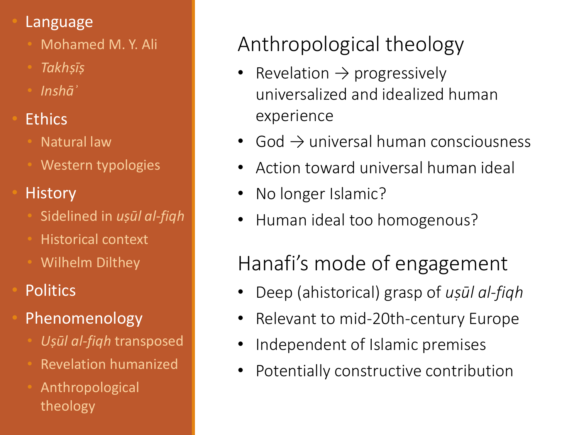- Mohamed M. Y. Ali
- *Takhṣīṣ*
- *Inshāʾ*
- **Ethics** 
	- Natural law
	- Western typologies
- History
	- Sidelined in *uṣūl al-fiqh*
	- Historical context
	- Wilhelm Dilthey
- **Politics**
- Phenomenology
	- *Uṣūl al-fiqh* transposed
	- Revelation humanized
	- Anthropological theology

# Anthropological theology

- Revelation  $\rightarrow$  progressively universalized and idealized human experience
- God  $\rightarrow$  universal human consciousness
- Action toward universal human ideal
- No longer Islamic?
- Human ideal too homogenous?

Hanafi's mode of engagement

- Deep (ahistorical) grasp of *uṣūl al-fiqh*
- Relevant to mid-20th-century Europe
- Independent of Islamic premises
- Potentially constructive contribution